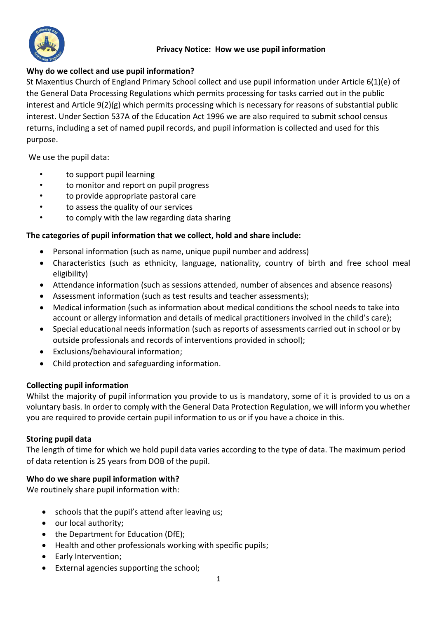

# **Privacy Notice: How we use pupil information**

# **Why do we collect and use pupil information?**

St Maxentius Church of England Primary School collect and use pupil information under Article 6(1)(e) of the General Data Processing Regulations which permits processing for tasks carried out in the public interest and Article 9(2)(g) which permits processing which is necessary for reasons of substantial public interest. Under Section 537A of the Education Act 1996 we are also required to submit school census returns, including a set of named pupil records, and pupil information is collected and used for this purpose.

We use the pupil data:

- to support pupil learning
- to monitor and report on pupil progress
- to provide appropriate pastoral care
- to assess the quality of our services
- to comply with the law regarding data sharing

## **The categories of pupil information that we collect, hold and share include:**

- Personal information (such as name, unique pupil number and address)
- Characteristics (such as ethnicity, language, nationality, country of birth and free school meal eligibility)
- Attendance information (such as sessions attended, number of absences and absence reasons)
- Assessment information (such as test results and teacher assessments);
- Medical information (such as information about medical conditions the school needs to take into account or allergy information and details of medical practitioners involved in the child's care);
- Special educational needs information (such as reports of assessments carried out in school or by outside professionals and records of interventions provided in school);
- Exclusions/behavioural information;
- Child protection and safeguarding information.

## **Collecting pupil information**

Whilst the majority of pupil information you provide to us is mandatory, some of it is provided to us on a voluntary basis. In order to comply with the General Data Protection Regulation, we will inform you whether you are required to provide certain pupil information to us or if you have a choice in this.

## **Storing pupil data**

The length of time for which we hold pupil data varies according to the type of data. The maximum period of data retention is 25 years from DOB of the pupil.

## **Who do we share pupil information with?**

We routinely share pupil information with:

- schools that the pupil's attend after leaving us;
- our local authority;
- the Department for Education (DfE);
- Health and other professionals working with specific pupils;
- Early Intervention;
- External agencies supporting the school;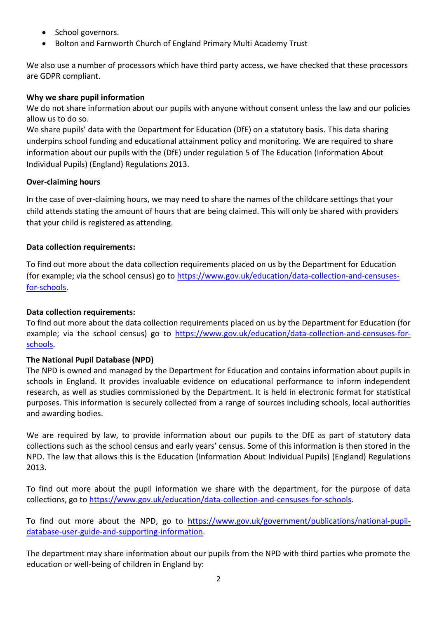- School governors.
- Bolton and Farnworth Church of England Primary Multi Academy Trust

We also use a number of processors which have third party access, we have checked that these processors are GDPR compliant.

## **Why we share pupil information**

We do not share information about our pupils with anyone without consent unless the law and our policies allow us to do so.

We share pupils' data with the Department for Education (DfE) on a statutory basis. This data sharing underpins school funding and educational attainment policy and monitoring. We are required to share information about our pupils with the (DfE) under regulation 5 of The Education (Information About Individual Pupils) (England) Regulations 2013.

## **Over-claiming hours**

In the case of over-claiming hours, we may need to share the names of the childcare settings that your child attends stating the amount of hours that are being claimed. This will only be shared with providers that your child is registered as attending.

## **Data collection requirements:**

To find out more about the data collection requirements placed on us by the Department for Education (for example; via the school census) go to [https://www.gov.uk/education/data-collection-and-censuses](https://www.gov.uk/education/data-collection-and-censuses-for-schools)[for-schools.](https://www.gov.uk/education/data-collection-and-censuses-for-schools)

## **Data collection requirements:**

To find out more about the data collection requirements placed on us by the Department for Education (for example; via the school census) go to [https://www.gov.uk/education/data-collection-and-censuses-for](https://www.gov.uk/education/data-collection-and-censuses-for-schools)[schools.](https://www.gov.uk/education/data-collection-and-censuses-for-schools)

## **The National Pupil Database (NPD)**

The NPD is owned and managed by the Department for Education and contains information about pupils in schools in England. It provides invaluable evidence on educational performance to inform independent research, as well as studies commissioned by the Department. It is held in electronic format for statistical purposes. This information is securely collected from a range of sources including schools, local authorities and awarding bodies.

We are required by law, to provide information about our pupils to the DfE as part of statutory data collections such as the school census and early years' census. Some of this information is then stored in the NPD. The law that allows this is the Education (Information About Individual Pupils) (England) Regulations 2013.

To find out more about the pupil information we share with the department, for the purpose of data collections, go to [https://www.gov.uk/education/data-collection-and-censuses-for-schools.](https://www.gov.uk/education/data-collection-and-censuses-for-schools)

To find out more about the NPD, go to [https://www.gov.uk/government/publications/national-pupil](https://www.gov.uk/government/publications/national-pupil-database-user-guide-and-supporting-information)[database-user-guide-and-supporting-information.](https://www.gov.uk/government/publications/national-pupil-database-user-guide-and-supporting-information)

The department may share information about our pupils from the NPD with third parties who promote the education or well-being of children in England by: